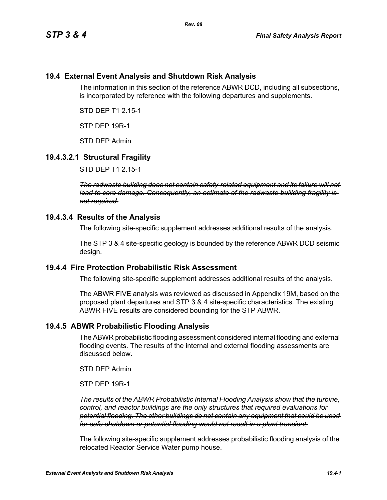## **19.4 External Event Analysis and Shutdown Risk Analysis**

The information in this section of the reference ABWR DCD, including all subsections, is incorporated by reference with the following departures and supplements.

STD DEP T1 2.15-1

STP DEP 19R-1

STD DEP Admin

#### **19.4.3.2.1 Structural Fragility**

STD DEP T1 2.15-1

*The radwaste building does not contain safety-related equipment and its failure will not lead to core damage. Consequently, an estimate of the radwaste buiilding fragility is not required.*

#### **19.4.3.4 Results of the Analysis**

The following site-specific supplement addresses additional results of the analysis.

The STP 3 & 4 site-specific geology is bounded by the reference ABWR DCD seismic design.

#### **19.4.4 Fire Protection Probabilistic Risk Assessment**

The following site-specific supplement addresses additional results of the analysis.

The ABWR FIVE analysis was reviewed as discussed in Appendix 19M, based on the proposed plant departures and STP 3 & 4 site-specific characteristics. The existing ABWR FIVE results are considered bounding for the STP ABWR.

#### **19.4.5 ABWR Probabilistic Flooding Analysis**

The ABWR probabilistic flooding assessment considered internal flooding and external flooding events. The results of the internal and external flooding assessments are discussed below.

STD DEP Admin

STP DEP 19R-1

*The results of the ABWR Probabilistic Internal Flooding Analysis show that the turbine, control, and reactor buildings are the only structures that required evaluations for potential flooding. The other buildings do not contain any equipment that could be used for safe shutdown or potential flooding would not result in a plant transient.*

The following site-specific supplement addresses probabilistic flooding analysis of the relocated Reactor Service Water pump house.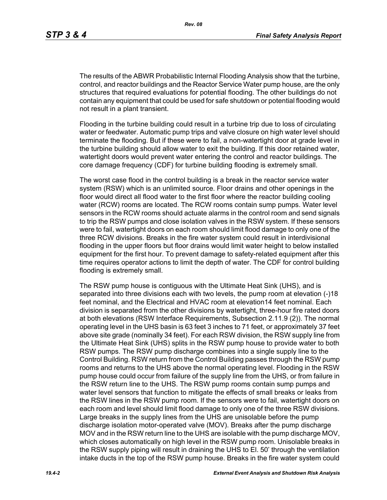The results of the ABWR Probabilistic Internal Flooding Analysis show that the turbine, control, and reactor buildings and the Reactor Service Water pump house, are the only structures that required evaluations for potential flooding. The other buildings do not contain any equipment that could be used for safe shutdown or potential flooding would not result in a plant transient.

Flooding in the turbine building could result in a turbine trip due to loss of circulating water or feedwater. Automatic pump trips and valve closure on high water level should terminate the flooding. But if these were to fail, a non-watertight door at grade level in the turbine building should allow water to exit the building. If this door retained water, watertight doors would prevent water entering the control and reactor buildings. The core damage frequency (CDF) for turbine building flooding is extremely small.

The worst case flood in the control building is a break in the reactor service water system (RSW) which is an unlimited source. Floor drains and other openings in the floor would direct all flood water to the first floor where the reactor building cooling water (RCW) rooms are located. The RCW rooms contain sump pumps. Water level sensors in the RCW rooms should actuate alarms in the control room and send signals to trip the RSW pumps and close isolation valves in the RSW system. If these sensors were to fail, watertight doors on each room should limit flood damage to only one of the three RCW divisions. Breaks in the fire water system could result in interdivisional flooding in the upper floors but floor drains would limit water height to below installed equipment for the first hour. To prevent damage to safety-related equipment after this time requires operator actions to limit the depth of water. The CDF for control building flooding is extremely small.

The RSW pump house is contiguous with the Ultimate Heat Sink (UHS), and is separated into three divisions each with two levels, the pump room at elevation (-)18 feet nominal, and the Electrical and HVAC room at elevation14 feet nominal. Each division is separated from the other divisions by watertight, three-hour fire rated doors at both elevations (RSW Interface Requirements, Subsection 2.11.9 (2)). The normal operating level in the UHS basin is 63 feet 3 inches to 71 feet, or approximately 37 feet above site grade (nominally 34 feet). For each RSW division, the RSW supply line from the Ultimate Heat Sink (UHS) splits in the RSW pump house to provide water to both RSW pumps. The RSW pump discharge combines into a single supply line to the Control Building. RSW return from the Control Building passes through the RSW pump rooms and returns to the UHS above the normal operating level. Flooding in the RSW pump house could occur from failure of the supply line from the UHS, or from failure in the RSW return line to the UHS. The RSW pump rooms contain sump pumps and water level sensors that function to mitigate the effects of small breaks or leaks from the RSW lines in the RSW pump room. If the sensors were to fail, watertight doors on each room and level should limit flood damage to only one of the three RSW divisions. Large breaks in the supply lines from the UHS are unisolable before the pump discharge isolation motor-operated valve (MOV). Breaks after the pump discharge MOV and in the RSW return line to the UHS are isolable with the pump discharge MOV, which closes automatically on high level in the RSW pump room. Unisolable breaks in the RSW supply piping will result in draining the UHS to El. 50' through the ventilation intake ducts in the top of the RSW pump house. Breaks in the fire water system could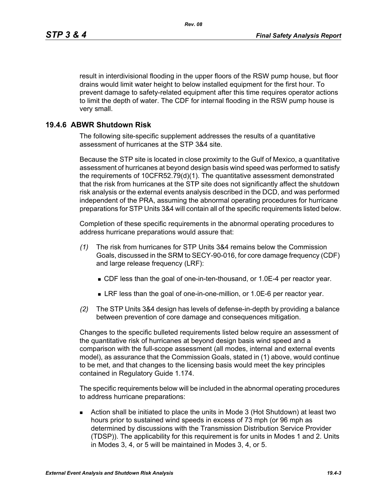result in interdivisional flooding in the upper floors of the RSW pump house, but floor drains would limit water height to below installed equipment for the first hour. To prevent damage to safety-related equipment after this time requires operator actions to limit the depth of water. The CDF for internal flooding in the RSW pump house is very small.

## **19.4.6 ABWR Shutdown Risk**

The following site-specific supplement addresses the results of a quantitative assessment of hurricanes at the STP 3&4 site.

Because the STP site is located in close proximity to the Gulf of Mexico, a quantitative assessment of hurricanes at beyond design basis wind speed was performed to satisfy the requirements of 10CFR52.79(d)(1). The quantitative assessment demonstrated that the risk from hurricanes at the STP site does not significantly affect the shutdown risk analysis or the external events analysis described in the DCD, and was performed independent of the PRA, assuming the abnormal operating procedures for hurricane preparations for STP Units 3&4 will contain all of the specific requirements listed below.

Completion of these specific requirements in the abnormal operating procedures to address hurricane preparations would assure that:

- *(1)* The risk from hurricanes for STP Units 3&4 remains below the Commission Goals, discussed in the SRM to SECY-90-016, for core damage frequency (CDF) and large release frequency (LRF):
	- CDF less than the goal of one-in-ten-thousand, or 1.0E-4 per reactor year.
	- LRF less than the goal of one-in-one-million, or 1.0E-6 per reactor year.
- *(2)* The STP Units 3&4 design has levels of defense-in-depth by providing a balance between prevention of core damage and consequences mitigation.

Changes to the specific bulleted requirements listed below require an assessment of the quantitative risk of hurricanes at beyond design basis wind speed and a comparison with the full-scope assessment (all modes, internal and external events model), as assurance that the Commission Goals, stated in (1) above, would continue to be met, and that changes to the licensing basis would meet the key principles contained in Regulatory Guide 1.174.

The specific requirements below will be included in the abnormal operating procedures to address hurricane preparations:

 Action shall be initiated to place the units in Mode 3 (Hot Shutdown) at least two hours prior to sustained wind speeds in excess of 73 mph (or 96 mph as determined by discussions with the Transmission Distribution Service Provider (TDSP)). The applicability for this requirement is for units in Modes 1 and 2. Units in Modes 3, 4, or 5 will be maintained in Modes 3, 4, or 5.